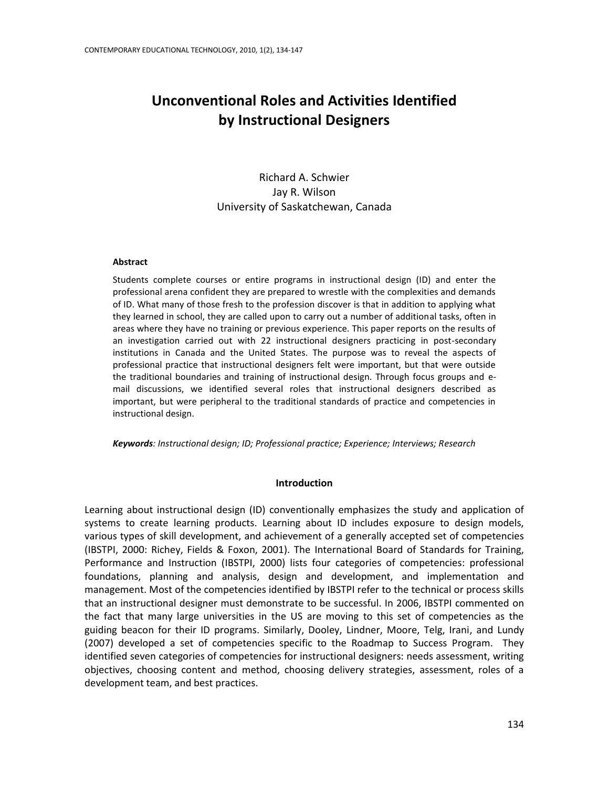# **Unconventional Roles and Activities Identified by Instructional Designers**

Richard A. Schwier Jay R. Wilson University of Saskatchewan, Canada

#### **Abstract**

Students complete courses or entire programs in instructional design (ID) and enter the professional arena confident they are prepared to wrestle with the complexities and demands of ID. What many of those fresh to the profession discover is that in addition to applying what they learned in school, they are called upon to carry out a number of additional tasks, often in areas where they have no training or previous experience. This paper reports on the results of an investigation carried out with 22 instructional designers practicing in post-secondary institutions in Canada and the United States. The purpose was to reveal the aspects of professional practice that instructional designers felt were important, but that were outside the traditional boundaries and training of instructional design. Through focus groups and email discussions, we identified several roles that instructional designers described as important, but were peripheral to the traditional standards of practice and competencies in instructional design.

*Keywords: Instructional design; ID; Professional practice; Experience; Interviews; Research*

## **Introduction**

Learning about instructional design (ID) conventionally emphasizes the study and application of systems to create learning products. Learning about ID includes exposure to design models, various types of skill development, and achievement of a generally accepted set of competencies (IBSTPI, 2000: Richey, Fields & Foxon, 2001). The International Board of Standards for Training, Performance and Instruction (IBSTPI, 2000) lists four categories of competencies: professional foundations, planning and analysis, design and development, and implementation and management. Most of the competencies identified by IBSTPI refer to the technical or process skills that an instructional designer must demonstrate to be successful. In 2006, IBSTPI commented on the fact that many large universities in the US are moving to this set of competencies as the guiding beacon for their ID programs. Similarly, Dooley, Lindner, Moore, Telg, Irani, and Lundy (2007) developed a set of competencies specific to the Roadmap to Success Program. They identified seven categories of competencies for instructional designers: needs assessment, writing objectives, choosing content and method, choosing delivery strategies, assessment, roles of a development team, and best practices.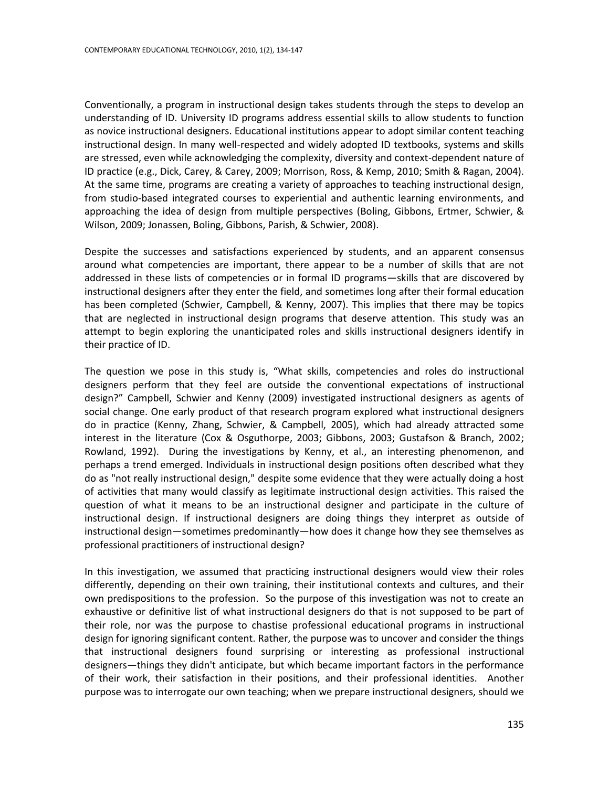Conventionally, a program in instructional design takes students through the steps to develop an understanding of ID. University ID programs address essential skills to allow students to function as novice instructional designers. Educational institutions appear to adopt similar content teaching instructional design. In many well-respected and widely adopted ID textbooks, systems and skills are stressed, even while acknowledging the complexity, diversity and context-dependent nature of ID practice (e.g., Dick, Carey, & Carey, 2009; Morrison, Ross, & Kemp, 2010; Smith & Ragan, 2004). At the same time, programs are creating a variety of approaches to teaching instructional design, from studio-based integrated courses to experiential and authentic learning environments, and approaching the idea of design from multiple perspectives (Boling, Gibbons, Ertmer, Schwier, & Wilson, 2009; Jonassen, Boling, Gibbons, Parish, & Schwier, 2008).

Despite the successes and satisfactions experienced by students, and an apparent consensus around what competencies are important, there appear to be a number of skills that are not addressed in these lists of competencies or in formal ID programs—skills that are discovered by instructional designers after they enter the field, and sometimes long after their formal education has been completed (Schwier, Campbell, & Kenny, 2007). This implies that there may be topics that are neglected in instructional design programs that deserve attention. This study was an attempt to begin exploring the unanticipated roles and skills instructional designers identify in their practice of ID.

The question we pose in this study is, "What skills, competencies and roles do instructional designers perform that they feel are outside the conventional expectations of instructional design?" Campbell, Schwier and Kenny (2009) investigated instructional designers as agents of social change. One early product of that research program explored what instructional designers do in practice (Kenny, Zhang, Schwier, & Campbell, 2005), which had already attracted some interest in the literature (Cox & Osguthorpe, 2003; Gibbons, 2003; Gustafson & Branch, 2002; Rowland, 1992). During the investigations by Kenny, et al., an interesting phenomenon, and perhaps a trend emerged. Individuals in instructional design positions often described what they do as "not really instructional design," despite some evidence that they were actually doing a host of activities that many would classify as legitimate instructional design activities. This raised the question of what it means to be an instructional designer and participate in the culture of instructional design. If instructional designers are doing things they interpret as outside of instructional design—sometimes predominantly—how does it change how they see themselves as professional practitioners of instructional design?

In this investigation, we assumed that practicing instructional designers would view their roles differently, depending on their own training, their institutional contexts and cultures, and their own predispositions to the profession. So the purpose of this investigation was not to create an exhaustive or definitive list of what instructional designers do that is not supposed to be part of their role, nor was the purpose to chastise professional educational programs in instructional design for ignoring significant content. Rather, the purpose was to uncover and consider the things that instructional designers found surprising or interesting as professional instructional designers—things they didn't anticipate, but which became important factors in the performance of their work, their satisfaction in their positions, and their professional identities. Another purpose was to interrogate our own teaching; when we prepare instructional designers, should we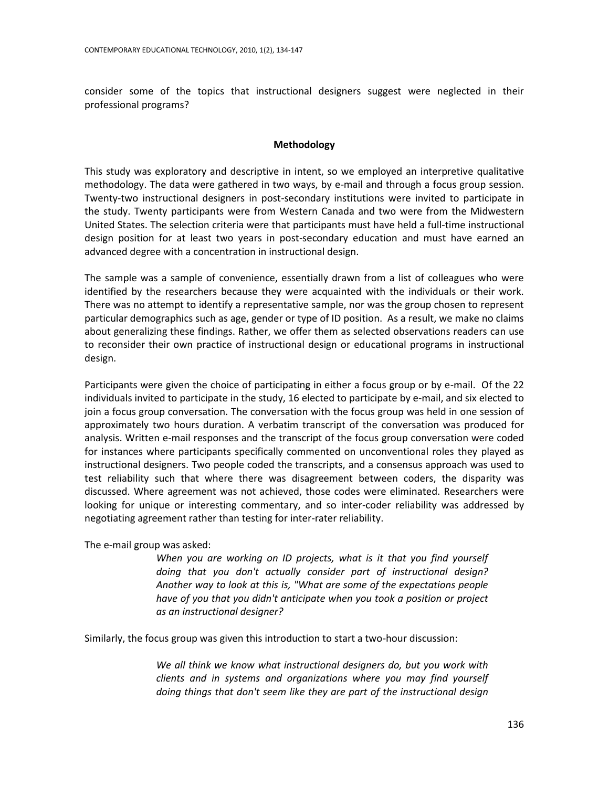consider some of the topics that instructional designers suggest were neglected in their professional programs?

## **Methodology**

This study was exploratory and descriptive in intent, so we employed an interpretive qualitative methodology. The data were gathered in two ways, by e-mail and through a focus group session. Twenty-two instructional designers in post-secondary institutions were invited to participate in the study. Twenty participants were from Western Canada and two were from the Midwestern United States. The selection criteria were that participants must have held a full-time instructional design position for at least two years in post-secondary education and must have earned an advanced degree with a concentration in instructional design.

The sample was a sample of convenience, essentially drawn from a list of colleagues who were identified by the researchers because they were acquainted with the individuals or their work. There was no attempt to identify a representative sample, nor was the group chosen to represent particular demographics such as age, gender or type of ID position. As a result, we make no claims about generalizing these findings. Rather, we offer them as selected observations readers can use to reconsider their own practice of instructional design or educational programs in instructional design.

Participants were given the choice of participating in either a focus group or by e-mail. Of the 22 individuals invited to participate in the study, 16 elected to participate by e-mail, and six elected to join a focus group conversation. The conversation with the focus group was held in one session of approximately two hours duration. A verbatim transcript of the conversation was produced for analysis. Written e-mail responses and the transcript of the focus group conversation were coded for instances where participants specifically commented on unconventional roles they played as instructional designers. Two people coded the transcripts, and a consensus approach was used to test reliability such that where there was disagreement between coders, the disparity was discussed. Where agreement was not achieved, those codes were eliminated. Researchers were looking for unique or interesting commentary, and so inter-coder reliability was addressed by negotiating agreement rather than testing for inter-rater reliability.

The e-mail group was asked:

*When you are working on ID projects, what is it that you find yourself doing that you don't actually consider part of instructional design? Another way to look at this is, "What are some of the expectations people have of you that you didn't anticipate when you took a position or project as an instructional designer?*

Similarly, the focus group was given this introduction to start a two-hour discussion:

*We all think we know what instructional designers do, but you work with clients and in systems and organizations where you may find yourself doing things that don't seem like they are part of the instructional design*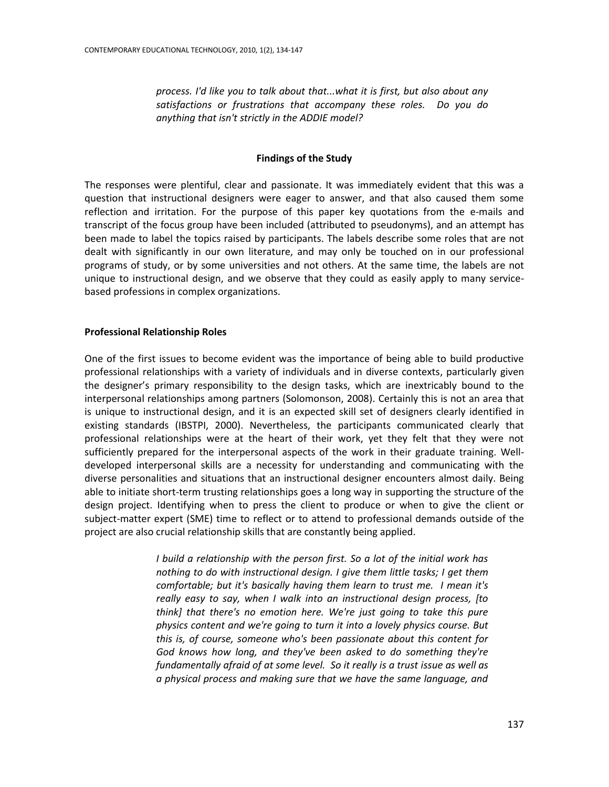*process. I'd like you to talk about that...what it is first, but also about any satisfactions or frustrations that accompany these roles. Do you do anything that isn't strictly in the ADDIE model?*

# **Findings of the Study**

The responses were plentiful, clear and passionate. It was immediately evident that this was a question that instructional designers were eager to answer, and that also caused them some reflection and irritation. For the purpose of this paper key quotations from the e-mails and transcript of the focus group have been included (attributed to pseudonyms), and an attempt has been made to label the topics raised by participants. The labels describe some roles that are not dealt with significantly in our own literature, and may only be touched on in our professional programs of study, or by some universities and not others. At the same time, the labels are not unique to instructional design, and we observe that they could as easily apply to many servicebased professions in complex organizations.

## **Professional Relationship Roles**

One of the first issues to become evident was the importance of being able to build productive professional relationships with a variety of individuals and in diverse contexts, particularly given the designer's primary responsibility to the design tasks, which are inextricably bound to the interpersonal relationships among partners (Solomonson, 2008). Certainly this is not an area that is unique to instructional design, and it is an expected skill set of designers clearly identified in existing standards (IBSTPI, 2000). Nevertheless, the participants communicated clearly that professional relationships were at the heart of their work, yet they felt that they were not sufficiently prepared for the interpersonal aspects of the work in their graduate training. Welldeveloped interpersonal skills are a necessity for understanding and communicating with the diverse personalities and situations that an instructional designer encounters almost daily. Being able to initiate short-term trusting relationships goes a long way in supporting the structure of the design project. Identifying when to press the client to produce or when to give the client or subject-matter expert (SME) time to reflect or to attend to professional demands outside of the project are also crucial relationship skills that are constantly being applied.

> *I build a relationship with the person first. So a lot of the initial work has nothing to do with instructional design. I give them little tasks; I get them comfortable; but it's basically having them learn to trust me. I mean it's really easy to say, when I walk into an instructional design process, [to think] that there's no emotion here. We're just going to take this pure physics content and we're going to turn it into a lovely physics course. But this is, of course, someone who's been passionate about this content for God knows how long, and they've been asked to do something they're fundamentally afraid of at some level. So it really is a trust issue as well as a physical process and making sure that we have the same language, and*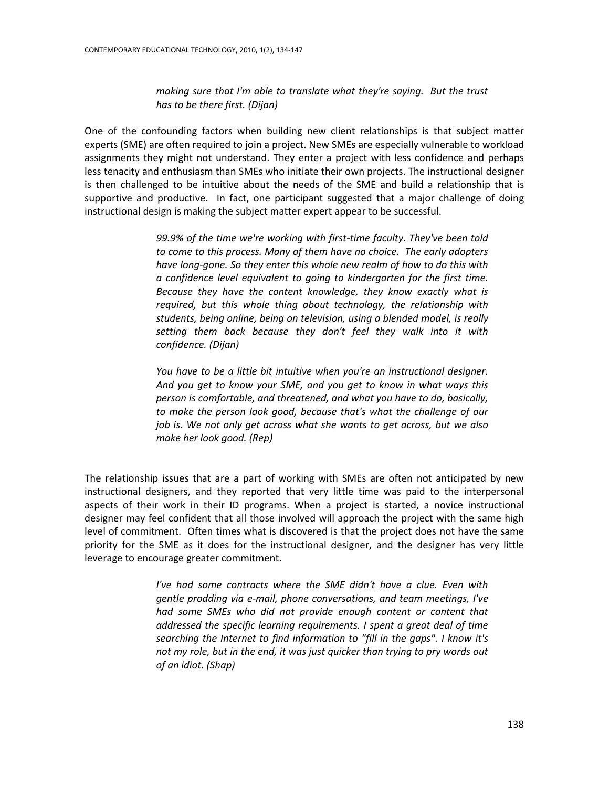*making sure that I'm able to translate what they're saying. But the trust has to be there first. (Dijan)*

One of the confounding factors when building new client relationships is that subject matter experts (SME) are often required to join a project. New SMEs are especially vulnerable to workload assignments they might not understand. They enter a project with less confidence and perhaps less tenacity and enthusiasm than SMEs who initiate their own projects. The instructional designer is then challenged to be intuitive about the needs of the SME and build a relationship that is supportive and productive. In fact, one participant suggested that a major challenge of doing instructional design is making the subject matter expert appear to be successful.

> *99.9% of the time we're working with first-time faculty. They've been told to come to this process. Many of them have no choice. The early adopters have long-gone. So they enter this whole new realm of how to do this with a confidence level equivalent to going to kindergarten for the first time. Because they have the content knowledge, they know exactly what is required, but this whole thing about technology, the relationship with students, being online, being on television, using a blended model, is really setting them back because they don't feel they walk into it with confidence. (Dijan)*

> *You have to be a little bit intuitive when you're an instructional designer. And you get to know your SME, and you get to know in what ways this person is comfortable, and threatened, and what you have to do, basically, to make the person look good, because that's what the challenge of our job is. We not only get across what she wants to get across, but we also make her look good. (Rep)*

The relationship issues that are a part of working with SMEs are often not anticipated by new instructional designers, and they reported that very little time was paid to the interpersonal aspects of their work in their ID programs. When a project is started, a novice instructional designer may feel confident that all those involved will approach the project with the same high level of commitment. Often times what is discovered is that the project does not have the same priority for the SME as it does for the instructional designer, and the designer has very little leverage to encourage greater commitment.

> *I've had some contracts where the SME didn't have a clue. Even with gentle prodding via e-mail, phone conversations, and team meetings, I've had some SMEs who did not provide enough content or content that addressed the specific learning requirements. I spent a great deal of time searching the Internet to find information to "fill in the gaps". I know it's not my role, but in the end, it was just quicker than trying to pry words out of an idiot. (Shap)*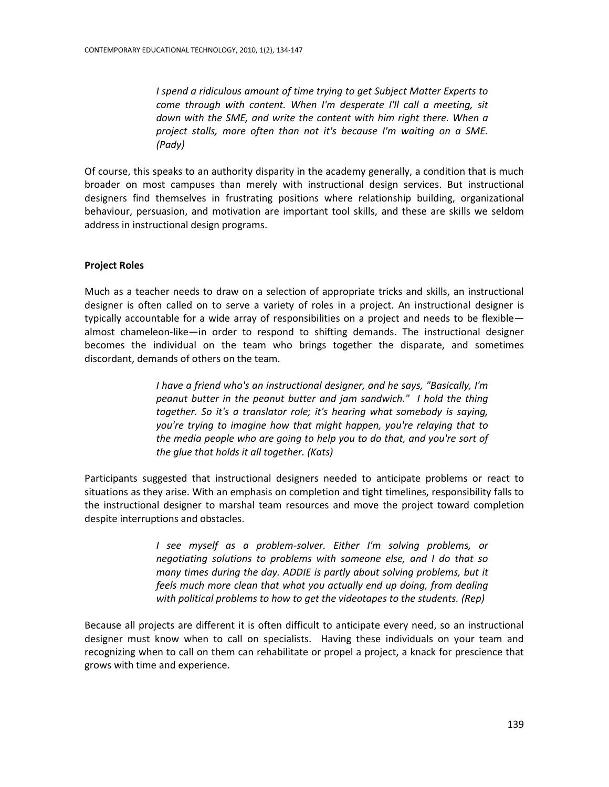*I spend a ridiculous amount of time trying to get Subject Matter Experts to come through with content. When I'm desperate I'll call a meeting, sit down with the SME, and write the content with him right there. When a project stalls, more often than not it's because I'm waiting on a SME. (Pady)*

Of course, this speaks to an authority disparity in the academy generally, a condition that is much broader on most campuses than merely with instructional design services. But instructional designers find themselves in frustrating positions where relationship building, organizational behaviour, persuasion, and motivation are important tool skills, and these are skills we seldom address in instructional design programs.

# **Project Roles**

Much as a teacher needs to draw on a selection of appropriate tricks and skills, an instructional designer is often called on to serve a variety of roles in a project. An instructional designer is typically accountable for a wide array of responsibilities on a project and needs to be flexible almost chameleon-like—in order to respond to shifting demands. The instructional designer becomes the individual on the team who brings together the disparate, and sometimes discordant, demands of others on the team.

> *I have a friend who's an instructional designer, and he says, "Basically, I'm peanut butter in the peanut butter and jam sandwich." I hold the thing together. So it's a translator role; it's hearing what somebody is saying, you're trying to imagine how that might happen, you're relaying that to the media people who are going to help you to do that, and you're sort of the glue that holds it all together. (Kats)*

Participants suggested that instructional designers needed to anticipate problems or react to situations as they arise. With an emphasis on completion and tight timelines, responsibility falls to the instructional designer to marshal team resources and move the project toward completion despite interruptions and obstacles.

> *I see myself as a problem-solver. Either I'm solving problems, or negotiating solutions to problems with someone else, and I do that so many times during the day. ADDIE is partly about solving problems, but it feels much more clean that what you actually end up doing, from dealing with political problems to how to get the videotapes to the students. (Rep)*

Because all projects are different it is often difficult to anticipate every need, so an instructional designer must know when to call on specialists. Having these individuals on your team and recognizing when to call on them can rehabilitate or propel a project, a knack for prescience that grows with time and experience.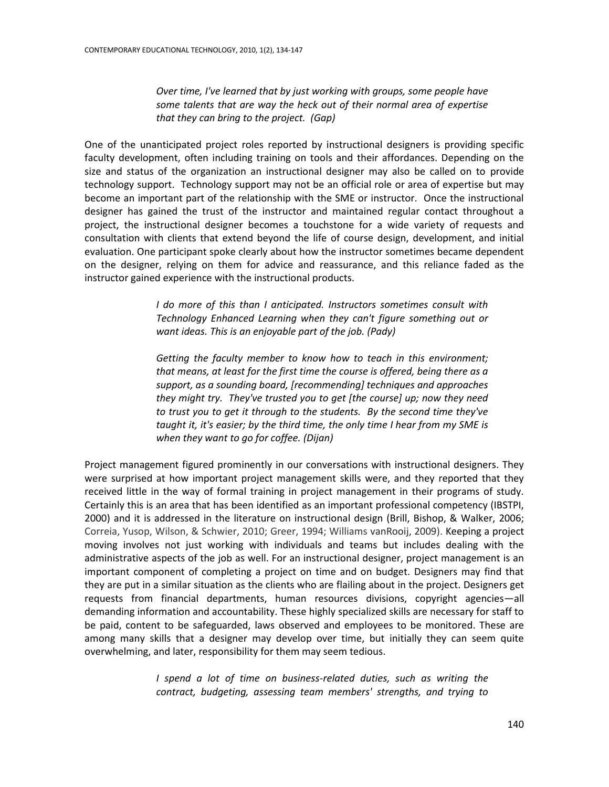*Over time, I've learned that by just working with groups, some people have some talents that are way the heck out of their normal area of expertise that they can bring to the project. (Gap)*

One of the unanticipated project roles reported by instructional designers is providing specific faculty development, often including training on tools and their affordances. Depending on the size and status of the organization an instructional designer may also be called on to provide technology support. Technology support may not be an official role or area of expertise but may become an important part of the relationship with the SME or instructor. Once the instructional designer has gained the trust of the instructor and maintained regular contact throughout a project, the instructional designer becomes a touchstone for a wide variety of requests and consultation with clients that extend beyond the life of course design, development, and initial evaluation. One participant spoke clearly about how the instructor sometimes became dependent on the designer, relying on them for advice and reassurance, and this reliance faded as the instructor gained experience with the instructional products.

> *I do more of this than I anticipated. Instructors sometimes consult with Technology Enhanced Learning when they can't figure something out or want ideas. This is an enjoyable part of the job. (Pady)*

> *Getting the faculty member to know how to teach in this environment; that means, at least for the first time the course is offered, being there as a support, as a sounding board, [recommending] techniques and approaches they might try. They've trusted you to get [the course] up; now they need to trust you to get it through to the students. By the second time they've taught it, it's easier; by the third time, the only time I hear from my SME is when they want to go for coffee. (Dijan)*

Project management figured prominently in our conversations with instructional designers. They were surprised at how important project management skills were, and they reported that they received little in the way of formal training in project management in their programs of study. Certainly this is an area that has been identified as an important professional competency (IBSTPI, 2000) and it is addressed in the literature on instructional design (Brill, Bishop, & Walker, 2006; Correia, Yusop, Wilson, & Schwier, 2010; Greer, 1994; Williams vanRooij, 2009). Keeping a project moving involves not just working with individuals and teams but includes dealing with the administrative aspects of the job as well. For an instructional designer, project management is an important component of completing a project on time and on budget. Designers may find that they are put in a similar situation as the clients who are flailing about in the project. Designers get requests from financial departments, human resources divisions, copyright agencies—all demanding information and accountability. These highly specialized skills are necessary for staff to be paid, content to be safeguarded, laws observed and employees to be monitored. These are among many skills that a designer may develop over time, but initially they can seem quite overwhelming, and later, responsibility for them may seem tedious.

> *I spend a lot of time on business-related duties, such as writing the contract, budgeting, assessing team members' strengths, and trying to*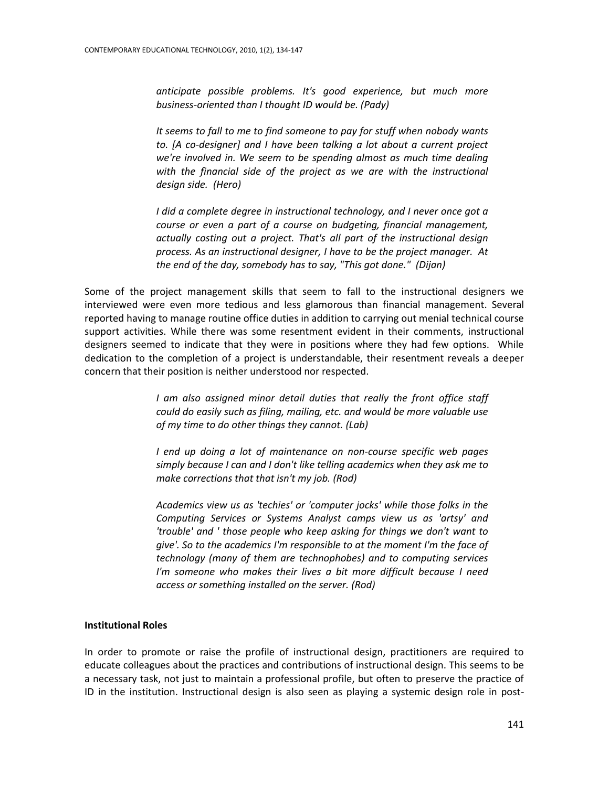*anticipate possible problems. It's good experience, but much more business-oriented than I thought ID would be. (Pady)*

*It seems to fall to me to find someone to pay for stuff when nobody wants to. [A co-designer] and I have been talking a lot about a current project we're involved in. We seem to be spending almost as much time dealing*  with the financial side of the project as we are with the instructional *design side. (Hero)*

*I* did a complete degree in instructional technology, and *I* never once got a *course or even a part of a course on budgeting, financial management, actually costing out a project. That's all part of the instructional design process. As an instructional designer, I have to be the project manager. At the end of the day, somebody has to say, "This got done." (Dijan)*

Some of the project management skills that seem to fall to the instructional designers we interviewed were even more tedious and less glamorous than financial management. Several reported having to manage routine office duties in addition to carrying out menial technical course support activities. While there was some resentment evident in their comments, instructional designers seemed to indicate that they were in positions where they had few options. While dedication to the completion of a project is understandable, their resentment reveals a deeper concern that their position is neither understood nor respected.

> *I* am also assigned minor detail duties that really the front office staff *could do easily such as filing, mailing, etc. and would be more valuable use of my time to do other things they cannot. (Lab)*

> *I end up doing a lot of maintenance on non-course specific web pages simply because I can and I don't like telling academics when they ask me to make corrections that that isn't my job. (Rod)*

> *Academics view us as 'techies' or 'computer jocks' while those folks in the Computing Services or Systems Analyst camps view us as 'artsy' and 'trouble' and ' those people who keep asking for things we don't want to give'. So to the academics I'm responsible to at the moment I'm the face of technology (many of them are technophobes) and to computing services I'm someone who makes their lives a bit more difficult because I need access or something installed on the server. (Rod)*

## **Institutional Roles**

In order to promote or raise the profile of instructional design, practitioners are required to educate colleagues about the practices and contributions of instructional design. This seems to be a necessary task, not just to maintain a professional profile, but often to preserve the practice of ID in the institution. Instructional design is also seen as playing a systemic design role in post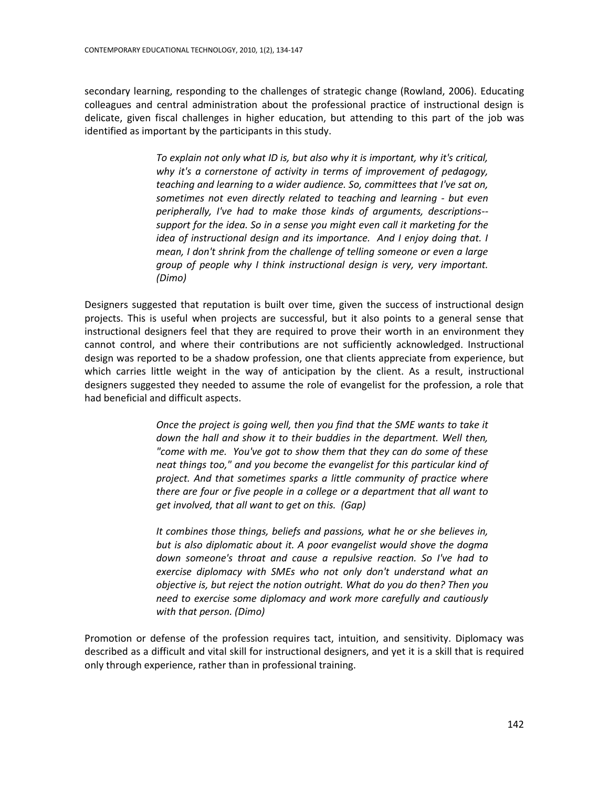secondary learning, responding to the challenges of strategic change (Rowland, 2006). Educating colleagues and central administration about the professional practice of instructional design is delicate, given fiscal challenges in higher education, but attending to this part of the job was identified as important by the participants in this study.

> *To explain not only what ID is, but also why it is important, why it's critical, why it's a cornerstone of activity in terms of improvement of pedagogy, teaching and learning to a wider audience. So, committees that I've sat on, sometimes not even directly related to teaching and learning - but even peripherally, I've had to make those kinds of arguments, descriptions- support for the idea. So in a sense you might even call it marketing for the idea of instructional design and its importance. And I enjoy doing that. I mean, I don't shrink from the challenge of telling someone or even a large group of people why I think instructional design is very, very important. (Dimo)*

Designers suggested that reputation is built over time, given the success of instructional design projects. This is useful when projects are successful, but it also points to a general sense that instructional designers feel that they are required to prove their worth in an environment they cannot control, and where their contributions are not sufficiently acknowledged. Instructional design was reported to be a shadow profession, one that clients appreciate from experience, but which carries little weight in the way of anticipation by the client. As a result, instructional designers suggested they needed to assume the role of evangelist for the profession, a role that had beneficial and difficult aspects.

> *Once the project is going well, then you find that the SME wants to take it down the hall and show it to their buddies in the department. Well then, "come with me. You've got to show them that they can do some of these neat things too," and you become the evangelist for this particular kind of project. And that sometimes sparks a little community of practice where there are four or five people in a college or a department that all want to get involved, that all want to get on this. (Gap)*

> *It combines those things, beliefs and passions, what he or she believes in, but is also diplomatic about it. A poor evangelist would shove the dogma down someone's throat and cause a repulsive reaction. So I've had to exercise diplomacy with SMEs who not only don't understand what an objective is, but reject the notion outright. What do you do then? Then you need to exercise some diplomacy and work more carefully and cautiously with that person. (Dimo)*

Promotion or defense of the profession requires tact, intuition, and sensitivity. Diplomacy was described as a difficult and vital skill for instructional designers, and yet it is a skill that is required only through experience, rather than in professional training.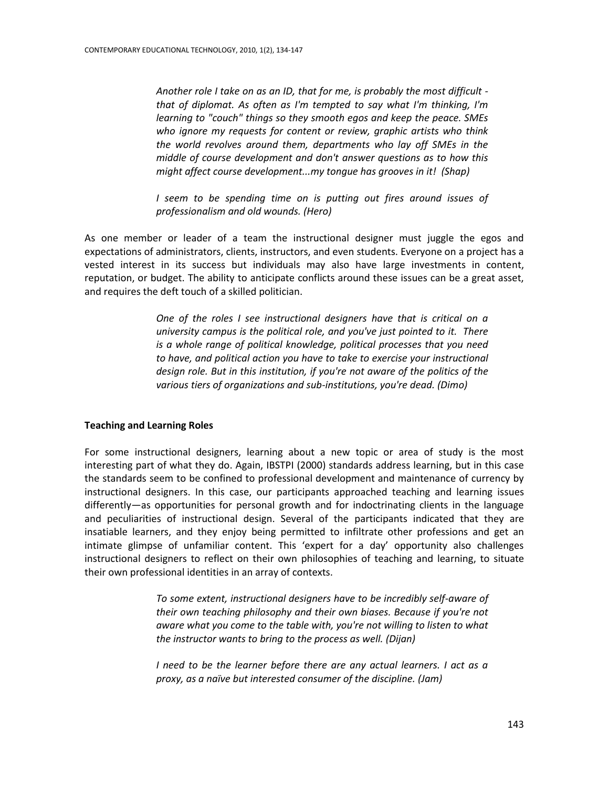*Another role I take on as an ID, that for me, is probably the most difficult that of diplomat. As often as I'm tempted to say what I'm thinking, I'm learning to "couch" things so they smooth egos and keep the peace. SMEs who ignore my requests for content or review, graphic artists who think the world revolves around them, departments who lay off SMEs in the middle of course development and don't answer questions as to how this might affect course development...my tongue has grooves in it! (Shap)*

*I seem to be spending time on is putting out fires around issues of professionalism and old wounds. (Hero)*

As one member or leader of a team the instructional designer must juggle the egos and expectations of administrators, clients, instructors, and even students. Everyone on a project has a vested interest in its success but individuals may also have large investments in content, reputation, or budget. The ability to anticipate conflicts around these issues can be a great asset, and requires the deft touch of a skilled politician.

> *One of the roles I see instructional designers have that is critical on a university campus is the political role, and you've just pointed to it. There is a whole range of political knowledge, political processes that you need to have, and political action you have to take to exercise your instructional design role. But in this institution, if you're not aware of the politics of the various tiers of organizations and sub-institutions, you're dead. (Dimo)*

### **Teaching and Learning Roles**

For some instructional designers, learning about a new topic or area of study is the most interesting part of what they do. Again, IBSTPI (2000) standards address learning, but in this case the standards seem to be confined to professional development and maintenance of currency by instructional designers. In this case, our participants approached teaching and learning issues differently—as opportunities for personal growth and for indoctrinating clients in the language and peculiarities of instructional design. Several of the participants indicated that they are insatiable learners, and they enjoy being permitted to infiltrate other professions and get an intimate glimpse of unfamiliar content. This 'expert for a day' opportunity also challenges instructional designers to reflect on their own philosophies of teaching and learning, to situate their own professional identities in an array of contexts.

> *To some extent, instructional designers have to be incredibly self-aware of their own teaching philosophy and their own biases. Because if you're not aware what you come to the table with, you're not willing to listen to what the instructor wants to bring to the process as well. (Dijan)*

> *I need to be the learner before there are any actual learners. I act as a proxy, as a naïve but interested consumer of the discipline. (Jam)*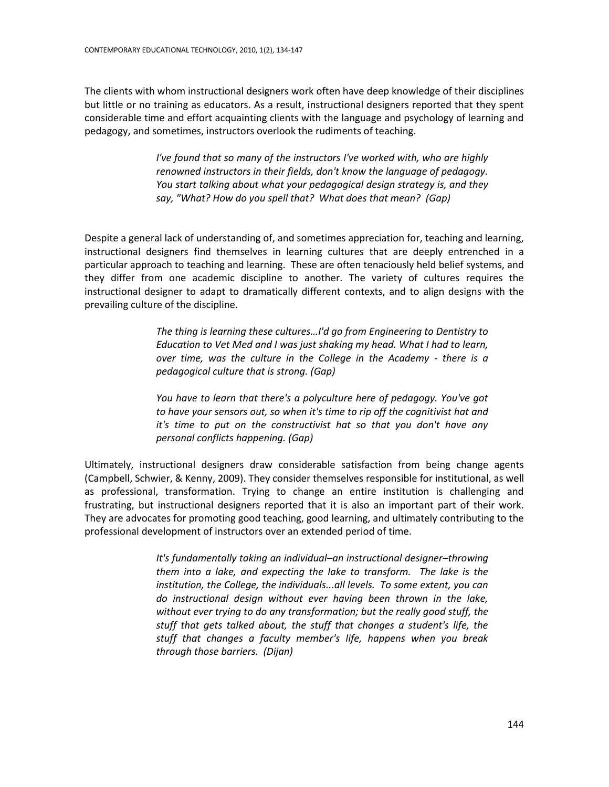The clients with whom instructional designers work often have deep knowledge of their disciplines but little or no training as educators. As a result, instructional designers reported that they spent considerable time and effort acquainting clients with the language and psychology of learning and pedagogy, and sometimes, instructors overlook the rudiments of teaching.

> *I've found that so many of the instructors I've worked with, who are highly renowned instructors in their fields, don't know the language of pedagogy. You start talking about what your pedagogical design strategy is, and they say, "What? How do you spell that? What does that mean? (Gap)*

Despite a general lack of understanding of, and sometimes appreciation for, teaching and learning, instructional designers find themselves in learning cultures that are deeply entrenched in a particular approach to teaching and learning. These are often tenaciously held belief systems, and they differ from one academic discipline to another. The variety of cultures requires the instructional designer to adapt to dramatically different contexts, and to align designs with the prevailing culture of the discipline.

> *The thing is learning these cultures…I'd go from Engineering to Dentistry to Education to Vet Med and I was just shaking my head. What I had to learn, over time, was the culture in the College in the Academy - there is a pedagogical culture that is strong. (Gap)*

> *You have to learn that there's a polyculture here of pedagogy. You've got to have your sensors out, so when it's time to rip off the cognitivist hat and it's time to put on the constructivist hat so that you don't have any personal conflicts happening. (Gap)*

Ultimately, instructional designers draw considerable satisfaction from being change agents (Campbell, Schwier, & Kenny, 2009). They consider themselves responsible for institutional, as well as professional, transformation. Trying to change an entire institution is challenging and frustrating, but instructional designers reported that it is also an important part of their work. They are advocates for promoting good teaching, good learning, and ultimately contributing to the professional development of instructors over an extended period of time.

> *It's fundamentally taking an individual–an instructional designer–throwing them into a lake, and expecting the lake to transform. The lake is the institution, the College, the individuals...all levels. To some extent, you can do instructional design without ever having been thrown in the lake, without ever trying to do any transformation; but the really good stuff, the stuff that gets talked about, the stuff that changes a student's life, the stuff that changes a faculty member's life, happens when you break through those barriers. (Dijan)*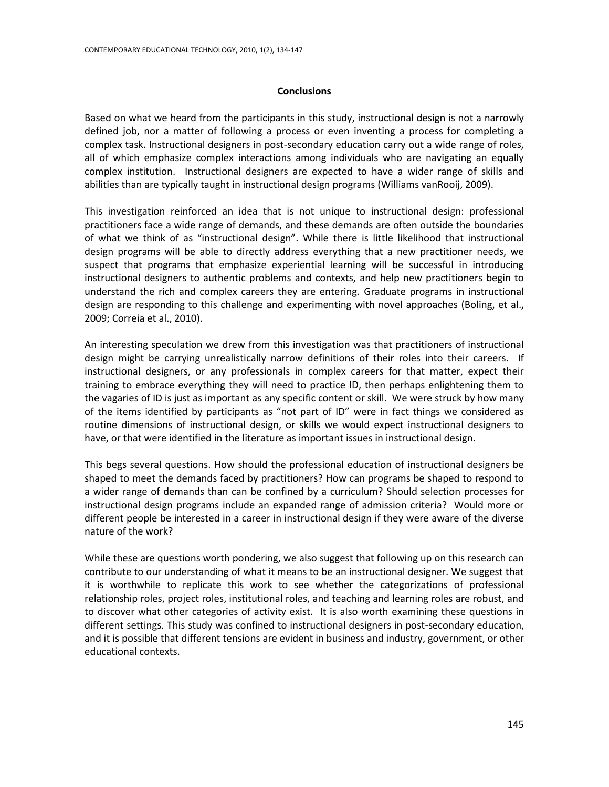#### **Conclusions**

Based on what we heard from the participants in this study, instructional design is not a narrowly defined job, nor a matter of following a process or even inventing a process for completing a complex task. Instructional designers in post-secondary education carry out a wide range of roles, all of which emphasize complex interactions among individuals who are navigating an equally complex institution. Instructional designers are expected to have a wider range of skills and abilities than are typically taught in instructional design programs (Williams vanRooij, 2009).

This investigation reinforced an idea that is not unique to instructional design: professional practitioners face a wide range of demands, and these demands are often outside the boundaries of what we think of as "instructional design". While there is little likelihood that instructional design programs will be able to directly address everything that a new practitioner needs, we suspect that programs that emphasize experiential learning will be successful in introducing instructional designers to authentic problems and contexts, and help new practitioners begin to understand the rich and complex careers they are entering. Graduate programs in instructional design are responding to this challenge and experimenting with novel approaches (Boling, et al., 2009; Correia et al., 2010).

An interesting speculation we drew from this investigation was that practitioners of instructional design might be carrying unrealistically narrow definitions of their roles into their careers. If instructional designers, or any professionals in complex careers for that matter, expect their training to embrace everything they will need to practice ID, then perhaps enlightening them to the vagaries of ID is just as important as any specific content or skill. We were struck by how many of the items identified by participants as "not part of ID" were in fact things we considered as routine dimensions of instructional design, or skills we would expect instructional designers to have, or that were identified in the literature as important issues in instructional design.

This begs several questions. How should the professional education of instructional designers be shaped to meet the demands faced by practitioners? How can programs be shaped to respond to a wider range of demands than can be confined by a curriculum? Should selection processes for instructional design programs include an expanded range of admission criteria? Would more or different people be interested in a career in instructional design if they were aware of the diverse nature of the work?

While these are questions worth pondering, we also suggest that following up on this research can contribute to our understanding of what it means to be an instructional designer. We suggest that it is worthwhile to replicate this work to see whether the categorizations of professional relationship roles, project roles, institutional roles, and teaching and learning roles are robust, and to discover what other categories of activity exist. It is also worth examining these questions in different settings. This study was confined to instructional designers in post-secondary education, and it is possible that different tensions are evident in business and industry, government, or other educational contexts.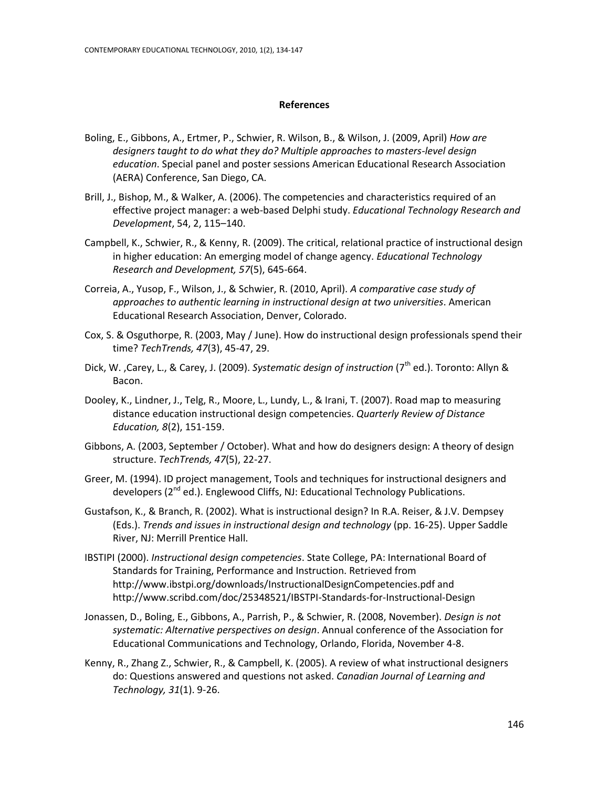#### **References**

- Boling, E., Gibbons, A., Ertmer, P., Schwier, R. Wilson, B., & Wilson, J. (2009, April) *How are designers taught to do what they do? Multiple approaches to masters-level design education*. Special panel and poster sessions American Educational Research Association (AERA) Conference, San Diego, CA.
- Brill, J., Bishop, M., & Walker, A. (2006). The competencies and characteristics required of an effective project manager: a web-based Delphi study. *Educational Technology Research and Development*, 54, 2, 115–140.
- Campbell, K., Schwier, R., & Kenny, R. (2009). The critical, relational practice of instructional design in higher education: An emerging model of change agency. *Educational Technology Research and Development, 57*(5), 645-664.
- Correia, A., Yusop, F., Wilson, J., & Schwier, R. (2010, April). *A comparative case study of approaches to authentic learning in instructional design at two universities*. American Educational Research Association, Denver, Colorado.
- Cox, S. & Osguthorpe, R. (2003, May / June). How do instructional design professionals spend their time? *TechTrends, 47*(3), 45-47, 29.
- Dick, W. ,Carey, L., & Carey, J. (2009). *Systematic design of instruction* (7<sup>th</sup> ed.). Toronto: Allyn & Bacon.
- Dooley, K., Lindner, J., Telg, R., Moore, L., Lundy, L., & Irani, T. (2007). Road map to measuring distance education instructional design competencies. *Quarterly Review of Distance Education, 8*(2), 151-159.
- Gibbons, A. (2003, September / October). What and how do designers design: A theory of design structure. *TechTrends, 47*(5), 22-27.
- Greer, M. (1994). ID project management, Tools and techniques for instructional designers and developers (2<sup>nd</sup> ed.). Englewood Cliffs, NJ: Educational Technology Publications.
- Gustafson, K., & Branch, R. (2002). What is instructional design? In R.A. Reiser, & J.V. Dempsey (Eds.). *Trends and issues in instructional design and technology* (pp. 16-25). Upper Saddle River, NJ: Merrill Prentice Hall.
- IBSTIPI (2000). *Instructional design competencies*. State College, PA: International Board of Standards for Training, Performance and Instruction. Retrieved from http://www.ibstpi.org/downloads/InstructionalDesignCompetencies.pdf and http://www.scribd.com/doc/25348521/IBSTPI-Standards-for-Instructional-Design
- Jonassen, D., Boling, E., Gibbons, A., Parrish, P., & Schwier, R. (2008, November). *Design is not systematic: Alternative perspectives on design*. Annual conference of the Association for Educational Communications and Technology, Orlando, Florida, November 4-8.
- Kenny, R., Zhang Z., Schwier, R., & Campbell, K. (2005). A review of what instructional designers do: Questions answered and questions not asked. *Canadian Journal of Learning and Technology, 31*(1). 9-26.